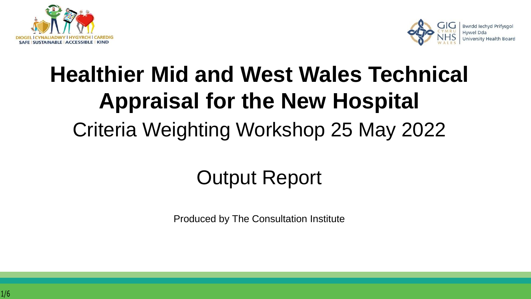



# **Healthier Mid and West Wales Technical Appraisal for the New Hospital**  Criteria Weighting Workshop 25 May 2022

## Output Report

Produced by The Consultation Institute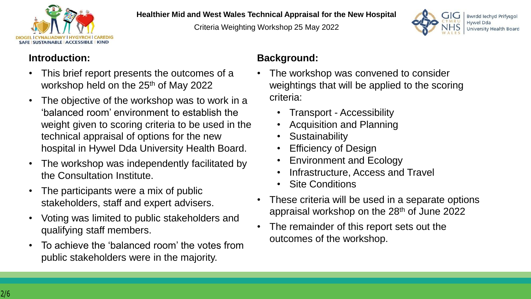

#### **Healthier Mid and West Wales Technical Appraisal for the New Hospital**

Criteria Weighting Workshop 25 May 2022



#### **Introduction:**

- This brief report presents the outcomes of a workshop held on the 25<sup>th</sup> of May 2022
- The objective of the workshop was to work in a 'balanced room' environment to establish the weight given to scoring criteria to be used in the technical appraisal of options for the new hospital in Hywel Dda University Health Board.
- The workshop was independently facilitated by the Consultation Institute.
- The participants were a mix of public stakeholders, staff and expert advisers.
- Voting was limited to public stakeholders and qualifying staff members.
- To achieve the 'balanced room' the votes from public stakeholders were in the majority.

## **Background:**

- The workshop was convened to consider weightings that will be applied to the scoring criteria:
	- Transport Accessibility
	- Acquisition and Planning
	- **Sustainability**
	- **Efficiency of Design**
	- Environment and Ecology
	- Infrastructure, Access and Travel
	- **Site Conditions**
- These criteria will be used in a separate options appraisal workshop on the 28th of June 2022
- The remainder of this report sets out the outcomes of the workshop.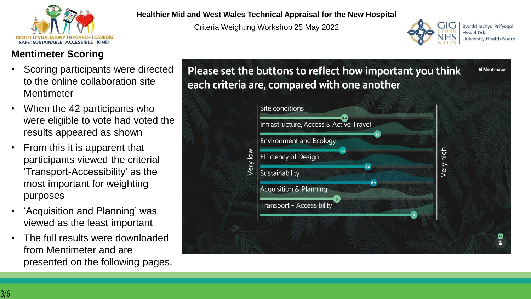

## **Mentimeter Scoring**

- Scoring participants were directed to the online collaboration site Mentimeter
- When the 42 participants who were eligible to vote had voted the results appeared as shown
- From this it is apparent that participants viewed the criterial 'Transport-Accessibility' as the most important for weighting purposes
- 'Acquisition and Planning' was viewed as the least important
- The full results were downloaded from Mentimeter and are presented on the following pages.

#### **Healthier Mid and West Wales Technical Appraisal for the New Hospital**

Criteria Weighting Workshop 25 May 2022



**Bwrdd lechyd Prifysgol Hywel Dda University Health Board** 

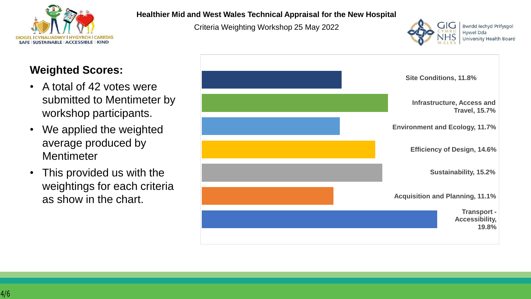

## **Weighted Scores:**

- A total of 42 votes were submitted to Mentimeter by workshop participants.
- We applied the weighted average produced by **Mentimeter**
- This provided us with the weightings for each criteria as show in the chart.

#### **Healthier Mid and West Wales Technical Appraisal for the New Hospital**

Criteria Weighting Workshop 25 May 2022



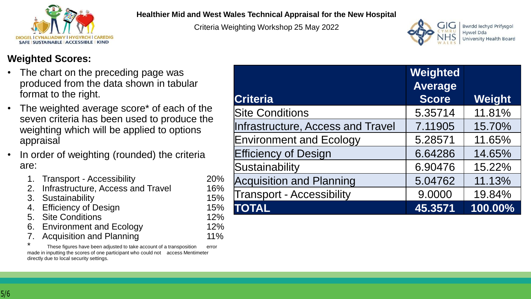

#### **Healthier Mid and West Wales Technical Appraisal for the New Hospital**

Criteria Weighting Workshop 25 May 2022



**Bwrdd lechyd Prifysgol** Hywel Dda **University Health Board** 

## **Weighted Scores:**

- The chart on the preceding page was produced from the data shown in tabular format to the right.
- The weighted average score<sup>\*</sup> of each of the seven criteria has been used to produce the weighting which will be applied to options appraisal
- In order of weighting (rounded) the criteria are:
	- 1. Transport Accessibility 20%
	- 2. Infrastructure, Access and Travel 16%
	- 3. Sustainability 15%
	- 4. Efficiency of Design 15%
	- 5. Site Conditions 12%
	- 6. Environment and Ecology 12%
	- Acquisition and Planning 11%

These figures have been adjusted to take account of a transposition error made in inputting the scores of one participant who could not access Mentimeter directly due to local security settings.

|                                   | Weighted<br><b>Average</b> |         |
|-----------------------------------|----------------------------|---------|
| <b>Criteria</b>                   | <b>Score</b>               | Weight  |
| <b>Site Conditions</b>            | 5.35714                    | 11.81%  |
| Infrastructure, Access and Travel | 7.11905                    | 15.70%  |
| <b>Environment and Ecology</b>    | 5.28571                    | 11.65%  |
| <b>Efficiency of Design</b>       | 6.64286                    | 14.65%  |
| Sustainability                    | 6.90476                    | 15.22%  |
| <b>Acquisition and Planning</b>   | 5.04762                    | 11.13%  |
| <b>Transport - Accessibility</b>  | 9.0000                     | 19.84%  |
| <b>TOTAL</b>                      | 45.3571                    | 100.00% |